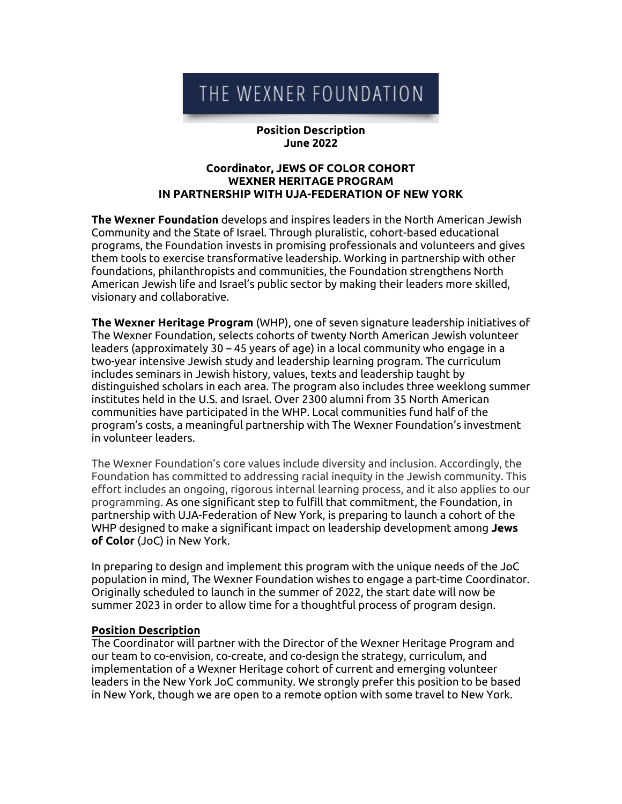# THE WEXNER FOUNDATION

#### **Position Description June 2022**

#### **Coordinator, JEWS OF COLOR COHORT WEXNER HERITAGE PROGRAM IN PARTNERSHIP WITH UJA-FEDERATION OF NEW YORK**

**The Wexner Foundation** develops and inspires leaders in the North American Jewish Community and the State of Israel. Through pluralistic, cohort-based educational programs, the Foundation invests in promising professionals and volunteers and gives them tools to exercise transformative leadership. Working in partnership with other foundations, philanthropists and communities, the Foundation strengthens North American Jewish life and Israel's public sector by making their leaders more skilled, visionary and collaborative.

**The Wexner Heritage Program** (WHP), one of seven signature leadership initiatives of The Wexner Foundation, selects cohorts of twenty North American Jewish volunteer leaders (approximately 30 – 45 years of age) in a local community who engage in a two-year intensive Jewish study and leadership learning program. The curriculum includes seminars in Jewish history, values, texts and leadership taught by distinguished scholars in each area. The program also includes three weeklong summer institutes held in the U.S. and Israel. Over 2300 alumni from 35 North American communities have participated in the WHP. Local communities fund half of the program's costs, a meaningful partnership with The Wexner Foundation's investment in volunteer leaders.

The Wexner Foundation's core values include diversity and inclusion. Accordingly, the Foundation has committed to addressing racial inequity in the Jewish community. This effort includes an ongoing, rigorous internal learning process, and it also applies to our programming. As one significant step to fulfill that commitment, the Foundation, in partnership with UJA-Federation of New York, is preparing to launch a cohort of the WHP designed to make a significant impact on leadership development among **Jews of Color** (JoC) in New York.

In preparing to design and implement this program with the unique needs of the JoC population in mind, The Wexner Foundation wishes to engage a part-time Coordinator. Originally scheduled to launch in the summer of 2022, the start date will now be summer 2023 in order to allow time for a thoughtful process of program design.

#### **Position Description**

The Coordinator will partner with the Director of the Wexner Heritage Program and our team to co-envision, co-create, and co-design the strategy, curriculum, and implementation of a Wexner Heritage cohort of current and emerging volunteer leaders in the New York JoC community. We strongly prefer this position to be based in New York, though we are open to a remote option with some travel to New York.